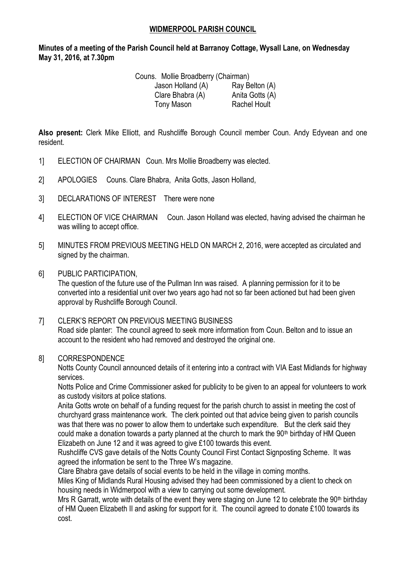## **WIDMERPOOL PARISH COUNCIL**

**Minutes of a meeting of the Parish Council held at Barranoy Cottage, Wysall Lane, on Wednesday May 31, 2016, at 7.30pm**

| Couns. Mollie Broadberry (Chairman) |                                  |
|-------------------------------------|----------------------------------|
| ١٨١، اممرالملا موموا                | D <sub>ov</sub> , D <sub>o</sub> |

| Jason Holland (A) | Ray Belton (A)      |
|-------------------|---------------------|
| Clare Bhabra (A)  | Anita Gotts (A)     |
| Tony Mason        | <b>Rachel Hoult</b> |

**Also present:** Clerk Mike Elliott, and Rushcliffe Borough Council member Coun. Andy Edyvean and one resident.

- 1] ELECTION OF CHAIRMAN Coun. Mrs Mollie Broadberry was elected.
- 2] APOLOGIES Couns. Clare Bhabra, Anita Gotts, Jason Holland,
- 3] DECLARATIONS OF INTEREST There were none
- 4] ELECTION OF VICE CHAIRMAN Coun. Jason Holland was elected, having advised the chairman he was willing to accept office.
- 5] MINUTES FROM PREVIOUS MEETING HELD ON MARCH 2, 2016, were accepted as circulated and signed by the chairman.
- 6] PUBLIC PARTICIPATION,

The question of the future use of the Pullman Inn was raised. A planning permission for it to be converted into a residential unit over two years ago had not so far been actioned but had been given approval by Rushcliffe Borough Council.

7] CLERK'S REPORT ON PREVIOUS MEETING BUSINESS Road side planter: The council agreed to seek more information from Coun. Belton and to issue an account to the resident who had removed and destroyed the original one.

## 8] CORRESPONDENCE

Notts County Council announced details of it entering into a contract with VIA East Midlands for highway services.

Notts Police and Crime Commissioner asked for publicity to be given to an appeal for volunteers to work as custody visitors at police stations.

Anita Gotts wrote on behalf of a funding request for the parish church to assist in meeting the cost of churchyard grass maintenance work. The clerk pointed out that advice being given to parish councils was that there was no power to allow them to undertake such expenditure. But the clerk said they could make a donation towards a party planned at the church to mark the  $90<sup>th</sup>$  birthday of HM Queen Elizabeth on June 12 and it was agreed to give £100 towards this event.

Rushcliffe CVS gave details of the Notts County Council First Contact Signposting Scheme. It was agreed the information be sent to the Three W's magazine.

Clare Bhabra gave details of social events to be held in the village in coming months.

Miles King of Midlands Rural Housing advised they had been commissioned by a client to check on housing needs in Widmerpool with a view to carrying out some development.

Mrs R Garratt, wrote with details of the event they were staging on June 12 to celebrate the 90<sup>th</sup> birthday of HM Queen Elizabeth II and asking for support for it. The council agreed to donate £100 towards its cost.